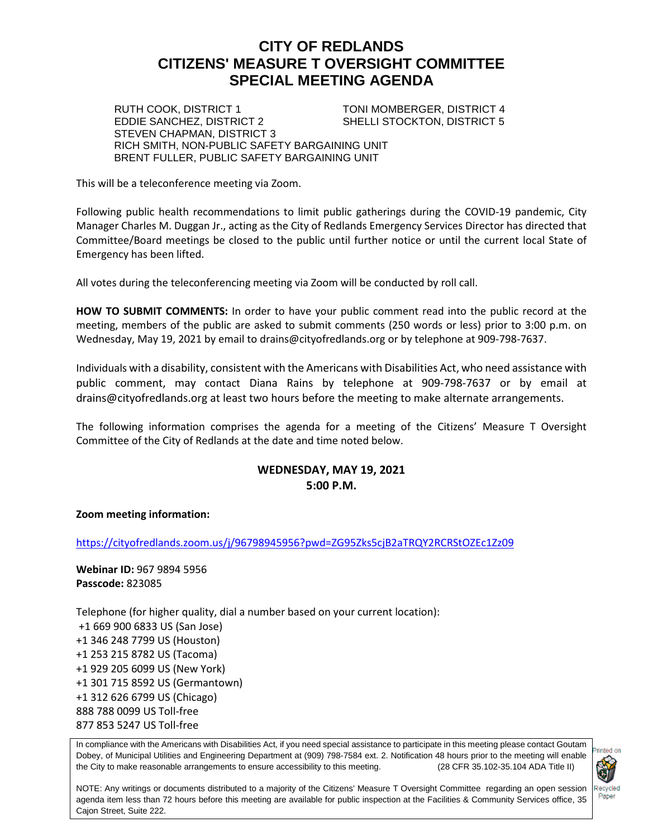# **CITY OF REDLANDS CITIZENS' MEASURE T OVERSIGHT COMMITTEE SPECIAL MEETING AGENDA**

RUTH COOK, DISTRICT 1 TONI MOMBERGER, DISTRICT 4<br>EDDIE SANCHEZ, DISTRICT 2 SHELLI STOCKTON, DISTRICT 5 SHELLI STOCKTON, DISTRICT 5

STEVEN CHAPMAN, DISTRICT 3 RICH SMITH, NON-PUBLIC SAFETY BARGAINING UNIT BRENT FULLER, PUBLIC SAFETY BARGAINING UNIT

This will be a teleconference meeting via Zoom.

Following public health recommendations to limit public gatherings during the COVID-19 pandemic, City Manager Charles M. Duggan Jr., acting as the City of Redlands Emergency Services Director has directed that Committee/Board meetings be closed to the public until further notice or until the current local State of Emergency has been lifted.

All votes during the teleconferencing meeting via Zoom will be conducted by roll call.

**HOW TO SUBMIT COMMENTS:** In order to have your public comment read into the public record at the meeting, members of the public are asked to submit comments (250 words or less) prior to 3:00 p.m. on Wednesday, May 19, 2021 by email to drains@cityofredlands.org or by telephone at 909-798-7637.

Individuals with a disability, consistent with the Americans with Disabilities Act, who need assistance with public comment, may contact Diana Rains by telephone at 909-798-7637 or by email at drains@cityofredlands.org at least two hours before the meeting to make alternate arrangements.

The following information comprises the agenda for a meeting of the Citizens' Measure T Oversight Committee of the City of Redlands at the date and time noted below.

## **WEDNESDAY, MAY 19, 2021 5:00 P.M.**

#### **Zoom meeting information:**

<https://cityofredlands.zoom.us/j/96798945956?pwd=ZG95Zks5cjB2aTRQY2RCRStOZEc1Zz09>

**Webinar ID:** 967 9894 5956 **Passcode:** 823085

Telephone (for higher quality, dial a number based on your current location): +1 669 900 6833 US (San Jose) +1 346 248 7799 US (Houston) +1 253 215 8782 US (Tacoma) +1 929 205 6099 US (New York) +1 301 715 8592 US (Germantown) +1 312 626 6799 US (Chicago) 888 788 0099 US Toll-free 877 853 5247 US Toll-free

In compliance with the Americans with Disabilities Act, if you need special assistance to participate in this meeting please contact Goutam Dobey, of Municipal Utilities and Engineering Department at (909) 798-7584 ext. 2. Notification 48 hours prior to the meeting will enable the City to make reasonable arrangements to ensure accessibility to this meeting. (28 CFR 35.102-35.104 ADA Title II)



NOTE: Any writings or documents distributed to a majority of the Citizens' Measure T Oversight Committee regarding an open session agenda item less than 72 hours before this meeting are available for public inspection at the Facilities & Community Services office, 35 Cajon Street, Suite 222.